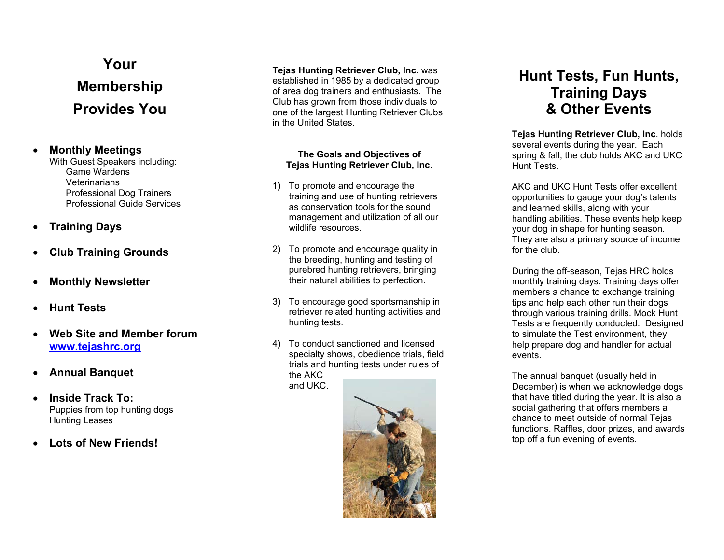# **Your Membership Provides You**

#### •**Monthly Meetings**

With Guest Speakers including: Game Wardens Veterinarians Professional Dog Trainers Professional Guide Services

#### $\bullet$ **Training Days**

- $\bullet$ **Club Training Grounds**
- •**Monthly Newsletter**
- •**Hunt Tests**
- • **Web Site and Member forumwww.tejashrc.org**
- •**Annual Banquet**
- • **Inside Track To:**  Puppies from top hunting dogs Hunting Leases
- •**Lots of New Friends!**

#### **Tejas Hunting Retriever Club, Inc.** was established in 1985 by a dedicated group of area dog trainers and enthusiasts. The Club has grown from those individuals to one of the largest Hunting Retriever Clubs in the United States.

#### **The Goals and Objectives of Tejas Hunting Retriever Club, Inc.**

- 1) To promote and encourage the training and use of hunting retrievers as conservation tools for the sound management and utilization of all our wildlife resources.
- 2) To promote and encourage quality in the breeding, hunting and testing of purebred hunting retrievers, bringing their natural abilities to perfection.
- 3) To encourage good sportsmanship in retriever related hunting activities and hunting tests.
- 4) To conduct sanctioned and licensed specialty shows, obedience trials, field trials and hunting tests under rules of the AKC and UKC.



# **Hunt Tests, Fun Hunts, Training Days & Other Events**

**Tejas Hunting Retriever Club, Inc**. holds several events during the year. Each spring & fall, the club holds AKC and UKC Hunt Tests.

AKC and UKC Hunt Tests offer excellent opportunities to gauge your dog's talents and learned skills, along with your handling abilities. These events help keep your dog in shape for hunting season. They are also a primary source of income for the club.

During the off-season, Tejas HRC holds monthly training days. Training days offer members a chance to exchange training tips and help each other run their dogs through various training drills. Mock Hunt Tests are frequently conducted. Designed to simulate the Test environment, they help prepare dog and handler for actual events.

The annual banquet (usually held in December) is when we acknowledge dogs that have titled during the year. It is also a social gathering that offers members a chance to meet outside of normal Tejas functions. Raffles, door prizes, and awards top off a fun evening of events.